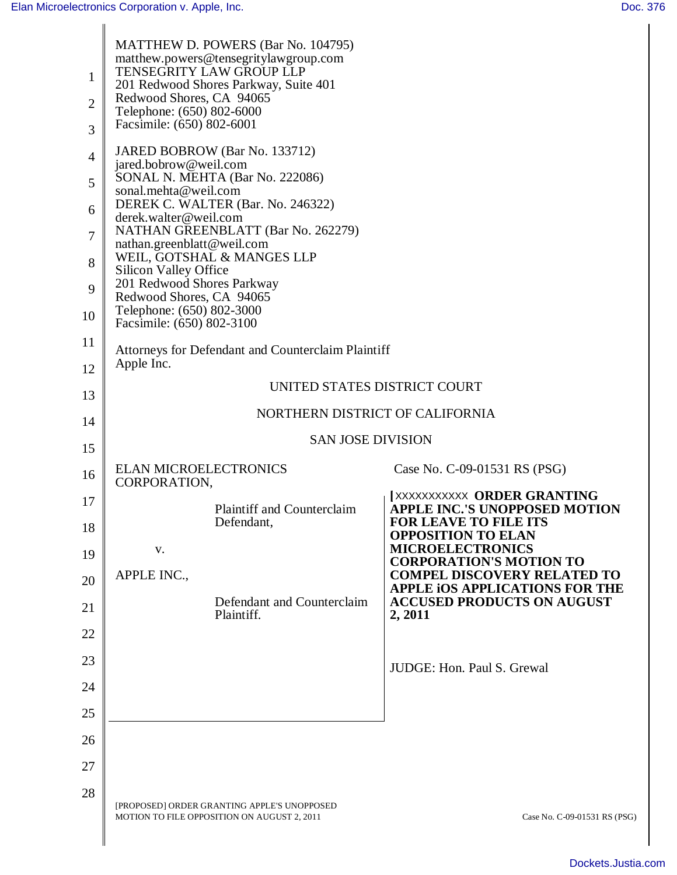| 1<br>$\overline{2}$<br>3<br>$\overline{4}$<br>5<br>6<br>7<br>8<br>9<br>10<br>11<br>12<br>13<br>14 | <b>MATTHEW D. POWERS (Bar No. 104795)</b><br>matthew.powers@tensegritylawgroup.com<br>TENSEGRITY LAW GROUP LLP<br>201 Redwood Shores Parkway, Suite 401<br>Redwood Shores, CA 94065<br>Telephone: (650) 802-6000<br>Facsimile: (650) 802-6001<br>JARED BOBROW (Bar No. 133712)<br>jared.bobrow@weil.com<br>SONAL N. MEHTA (Bar No. 222086)<br>sonal.mehta@weil.com<br>DEREK C. WALTER (Bar. No. 246322)<br>derek.walter@weil.com<br>NATHAN GREENBLATT (Bar No. 262279)<br>nathan.greenblatt@weil.com<br>WEIL, GOTSHAL & MANGES LLP<br><b>Silicon Valley Office</b><br>201 Redwood Shores Parkway<br>Redwood Shores, CA 94065<br>Telephone: (650) 802-3000<br>Facsimile: (650) 802-3100<br>Attorneys for Defendant and Counterclaim Plaintiff<br>Apple Inc.<br>UNITED STATES DISTRICT COURT<br>NORTHERN DISTRICT OF CALIFORNIA |                                                                                                                                                                                                                                           |
|---------------------------------------------------------------------------------------------------|-------------------------------------------------------------------------------------------------------------------------------------------------------------------------------------------------------------------------------------------------------------------------------------------------------------------------------------------------------------------------------------------------------------------------------------------------------------------------------------------------------------------------------------------------------------------------------------------------------------------------------------------------------------------------------------------------------------------------------------------------------------------------------------------------------------------------------|-------------------------------------------------------------------------------------------------------------------------------------------------------------------------------------------------------------------------------------------|
| 15                                                                                                | <b>SAN JOSE DIVISION</b>                                                                                                                                                                                                                                                                                                                                                                                                                                                                                                                                                                                                                                                                                                                                                                                                      |                                                                                                                                                                                                                                           |
| 16                                                                                                | <b>ELAN MICROELECTRONICS</b><br>CORPORATION,                                                                                                                                                                                                                                                                                                                                                                                                                                                                                                                                                                                                                                                                                                                                                                                  | Case No. C-09-01531 RS (PSG)                                                                                                                                                                                                              |
| 17<br>18<br>19<br>20                                                                              | <b>Plaintiff and Counterclaim</b><br>Defendant,<br>V.<br>APPLE INC.,                                                                                                                                                                                                                                                                                                                                                                                                                                                                                                                                                                                                                                                                                                                                                          | <b>[XXXXXXXXXX ORDER GRANTING</b><br><b>APPLE INC.'S UNOPPOSED MOTION</b><br><b>FOR LEAVE TO FILE ITS</b><br><b>OPPOSITION TO ELAN</b><br><b>MICROELECTRONICS</b><br><b>CORPORATION'S MOTION TO</b><br><b>COMPEL DISCOVERY RELATED TO</b> |
| 21                                                                                                | Defendant and Counterclaim<br>Plaintiff.                                                                                                                                                                                                                                                                                                                                                                                                                                                                                                                                                                                                                                                                                                                                                                                      | APPLE IOS APPLICATIONS FOR THE<br><b>ACCUSED PRODUCTS ON AUGUST</b><br>2, 2011                                                                                                                                                            |
| 22                                                                                                |                                                                                                                                                                                                                                                                                                                                                                                                                                                                                                                                                                                                                                                                                                                                                                                                                               |                                                                                                                                                                                                                                           |
| 23                                                                                                |                                                                                                                                                                                                                                                                                                                                                                                                                                                                                                                                                                                                                                                                                                                                                                                                                               | JUDGE: Hon. Paul S. Grewal                                                                                                                                                                                                                |
| 24                                                                                                |                                                                                                                                                                                                                                                                                                                                                                                                                                                                                                                                                                                                                                                                                                                                                                                                                               |                                                                                                                                                                                                                                           |
| 25                                                                                                |                                                                                                                                                                                                                                                                                                                                                                                                                                                                                                                                                                                                                                                                                                                                                                                                                               |                                                                                                                                                                                                                                           |
| 26                                                                                                |                                                                                                                                                                                                                                                                                                                                                                                                                                                                                                                                                                                                                                                                                                                                                                                                                               |                                                                                                                                                                                                                                           |
| 27                                                                                                |                                                                                                                                                                                                                                                                                                                                                                                                                                                                                                                                                                                                                                                                                                                                                                                                                               |                                                                                                                                                                                                                                           |
| 28                                                                                                | [PROPOSED] ORDER GRANTING APPLE'S UNOPPOSED<br>MOTION TO FILE OPPOSITION ON AUGUST 2, 2011                                                                                                                                                                                                                                                                                                                                                                                                                                                                                                                                                                                                                                                                                                                                    | Case No. C-09-01531 RS (PSG)                                                                                                                                                                                                              |